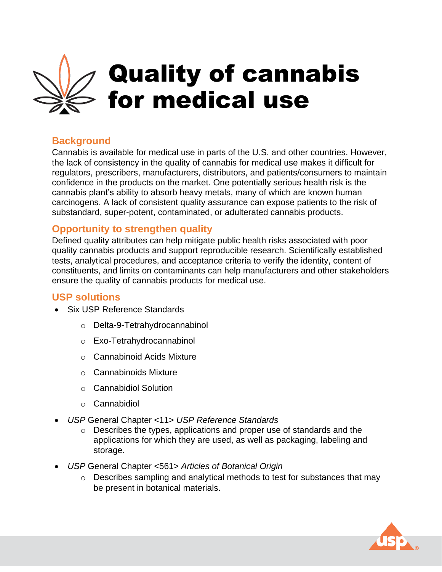

# Quality of cannabis for medical use

#### **Background**

Cannabis is available for medical use in parts of the U.S. and other countries. However, the lack of consistency in the quality of cannabis for medical use makes it difficult for regulators, prescribers, manufacturers, distributors, and patients/consumers to maintain confidence in the products on the market. One potentially serious health risk is the cannabis plant's ability to absorb heavy metals, many of which are known human carcinogens. A lack of consistent quality assurance can expose patients to the risk of substandard, super-potent, contaminated, or adulterated cannabis products.

### **Opportunity to strengthen quality**

Defined quality attributes can help mitigate public health risks associated with poor quality cannabis products and support reproducible research. Scientifically established tests, analytical procedures, and acceptance criteria to verify the identity, content of constituents, and limits on contaminants can help manufacturers and other stakeholders ensure the quality of cannabis products for medical use.

#### **USP solutions**

- Six USP Reference Standards
	- o Delta-9-Tetrahydrocannabinol
	- o Exo-Tetrahydrocannabinol
	- o Cannabinoid Acids Mixture
	- o Cannabinoids Mixture
	- o Cannabidiol Solution
	- o Cannabidiol
- *USP* General Chapter <11> *USP Reference Standards*
	- o Describes the types, applications and proper use of standards and the applications for which they are used, as well as packaging, labeling and storage.
- *USP* General Chapter <561> *Articles of Botanical Origin*
	- o Describes sampling and analytical methods to test for substances that may be present in botanical materials.